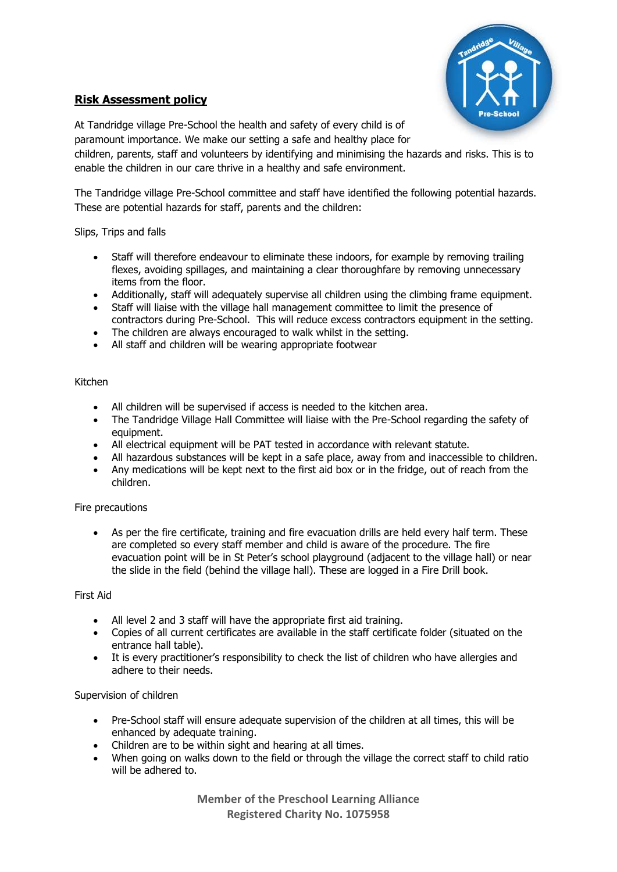

# **Risk Assessment policy**

At Tandridge village Pre-School the health and safety of every child is of paramount importance. We make our setting a safe and healthy place for

children, parents, staff and volunteers by identifying and minimising the hazards and risks. This is to enable the children in our care thrive in a healthy and safe environment.

The Tandridge village Pre-School committee and staff have identified the following potential hazards. These are potential hazards for staff, parents and the children:

Slips, Trips and falls

- Staff will therefore endeavour to eliminate these indoors, for example by removing trailing flexes, avoiding spillages, and maintaining a clear thoroughfare by removing unnecessary items from the floor.
- Additionally, staff will adequately supervise all children using the climbing frame equipment.
- Staff will liaise with the village hall management committee to limit the presence of contractors during Pre-School. This will reduce excess contractors equipment in the setting.
- The children are always encouraged to walk whilst in the setting.
- All staff and children will be wearing appropriate footwear

## Kitchen

- All children will be supervised if access is needed to the kitchen area.
- The Tandridge Village Hall Committee will liaise with the Pre-School regarding the safety of equipment.
- All electrical equipment will be PAT tested in accordance with relevant statute.
- All hazardous substances will be kept in a safe place, away from and inaccessible to children.
- Any medications will be kept next to the first aid box or in the fridge, out of reach from the children.

## Fire precautions

As per the fire certificate, training and fire evacuation drills are held every half term. These are completed so every staff member and child is aware of the procedure. The fire evacuation point will be in St Peter's school playground (adjacent to the village hall) or near the slide in the field (behind the village hall). These are logged in a Fire Drill book.

### First Aid

- All level 2 and 3 staff will have the appropriate first aid training.
- Copies of all current certificates are available in the staff certificate folder (situated on the entrance hall table).
- It is every practitioner's responsibility to check the list of children who have allergies and adhere to their needs.

## Supervision of children

- Pre-School staff will ensure adequate supervision of the children at all times, this will be enhanced by adequate training.
- Children are to be within sight and hearing at all times.
- When going on walks down to the field or through the village the correct staff to child ratio will be adhered to.

**Member of the Preschool Learning Alliance Registered Charity No. 1075958**